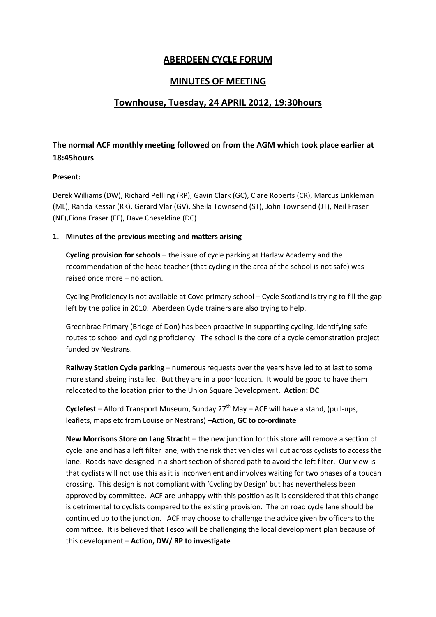# **ABERDEEN CYCLE FORUM**

## **MINUTES OF MEETING**

## **Townhouse, Tuesday, 24 APRIL 2012, 19:30hours**

# **The normal ACF monthly meeting followed on from the AGM which took place earlier at 18:45hours**

### **Present:**

Derek Williams (DW), Richard Pellling (RP), Gavin Clark (GC), Clare Roberts (CR), Marcus Linkleman (ML), Rahda Kessar (RK), Gerard Vlar (GV), Sheila Townsend (ST), John Townsend (JT), Neil Fraser (NF),Fiona Fraser (FF), Dave Cheseldine (DC)

### **1. Minutes of the previous meeting and matters arising**

**Cycling provision for schools** – the issue of cycle parking at Harlaw Academy and the recommendation of the head teacher (that cycling in the area of the school is not safe) was raised once more – no action.

Cycling Proficiency is not available at Cove primary school – Cycle Scotland is trying to fill the gap left by the police in 2010. Aberdeen Cycle trainers are also trying to help.

Greenbrae Primary (Bridge of Don) has been proactive in supporting cycling, identifying safe routes to school and cycling proficiency. The school is the core of a cycle demonstration project funded by Nestrans.

**Railway Station Cycle parking** – numerous requests over the years have led to at last to some more stand sbeing installed. But they are in a poor location. It would be good to have them relocated to the location prior to the Union Square Development. **Action: DC**

**Cyclefest** – Alford Transport Museum, Sunday 27<sup>th</sup> May – ACF will have a stand, (pull-ups, leaflets, maps etc from Louise or Nestrans) –**Action, GC to co-ordinate**

**New Morrisons Store on Lang Stracht** – the new junction for this store will remove a section of cycle lane and has a left filter lane, with the risk that vehicles will cut across cyclists to access the lane. Roads have designed in a short section of shared path to avoid the left filter. Our view is that cyclists will not use this as it is inconvenient and involves waiting for two phases of a toucan crossing. This design is not compliant with 'Cycling by Design' but has nevertheless been approved by committee. ACF are unhappy with this position as it is considered that this change is detrimental to cyclists compared to the existing provision. The on road cycle lane should be continued up to the junction. ACF may choose to challenge the advice given by officers to the committee. It is believed that Tesco will be challenging the local development plan because of this development – **Action, DW/ RP to investigate**